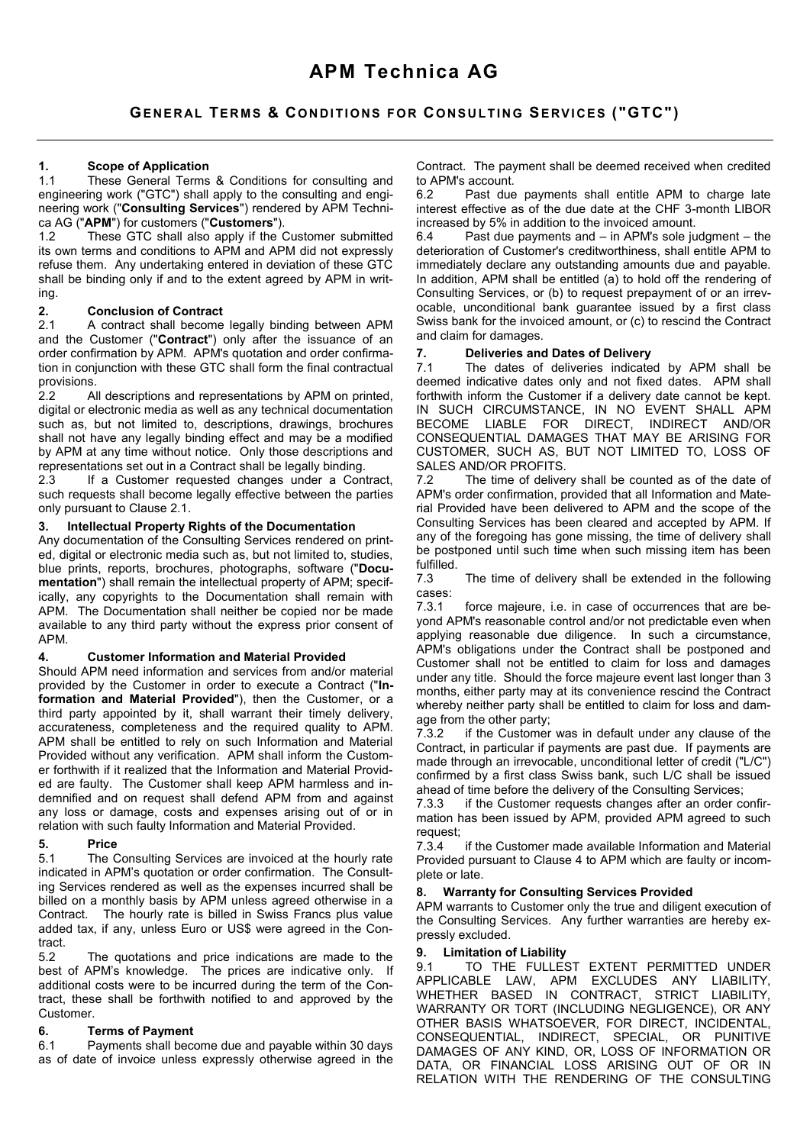# **1. Scope of Application**

These General Terms & Conditions for consulting and engineering work ("GTC") shall apply to the consulting and engineering work ("**Consulting Services**") rendered by APM Technica AG ("**APM**") for customers ("**Customers**").

1.2 These GTC shall also apply if the Customer submitted its own terms and conditions to APM and APM did not expressly refuse them. Any undertaking entered in deviation of these GTC shall be binding only if and to the extent agreed by APM in writing.

# **2. Conclusion of Contract**

A contract shall become legally binding between APM and the Customer ("**Contract**") only after the issuance of an order confirmation by APM. APM's quotation and order confirmation in conjunction with these GTC shall form the final contractual provisions.<br>2.2 A

All descriptions and representations by APM on printed, digital or electronic media as well as any technical documentation such as, but not limited to, descriptions, drawings, brochures shall not have any legally binding effect and may be a modified by APM at any time without notice. Only those descriptions and representations set out in a Contract shall be legally binding.

2.3 If a Customer requested changes under a Contract, such requests shall become legally effective between the parties only pursuant to Clause 2.1.

#### **3. Intellectual Property Rights of the Documentation**

Any documentation of the Consulting Services rendered on printed, digital or electronic media such as, but not limited to, studies, blue prints, reports, brochures, photographs, software ("**Documentation**") shall remain the intellectual property of APM; specifically, any copyrights to the Documentation shall remain with APM. The Documentation shall neither be copied nor be made available to any third party without the express prior consent of APM.

## **4. Customer Information and Material Provided**

Should APM need information and services from and/or material provided by the Customer in order to execute a Contract ("**Information and Material Provided**"), then the Customer, or a third party appointed by it, shall warrant their timely delivery, accurateness, completeness and the required quality to APM. APM shall be entitled to rely on such Information and Material Provided without any verification. APM shall inform the Customer forthwith if it realized that the Information and Material Provided are faulty. The Customer shall keep APM harmless and indemnified and on request shall defend APM from and against any loss or damage, costs and expenses arising out of or in relation with such faulty Information and Material Provided.

#### **5. Price**

5.1 The Consulting Services are invoiced at the hourly rate indicated in APM's quotation or order confirmation. The Consulting Services rendered as well as the expenses incurred shall be billed on a monthly basis by APM unless agreed otherwise in a Contract. The hourly rate is billed in Swiss Francs plus value added tax, if any, unless Euro or US\$ were agreed in the Contract.

5.2 The quotations and price indications are made to the best of APM's knowledge. The prices are indicative only. If additional costs were to be incurred during the term of the Contract, these shall be forthwith notified to and approved by the Customer.

## **6. Terms of Payment**

6.1 Payments shall become due and payable within 30 days as of date of invoice unless expressly otherwise agreed in the

Contract. The payment shall be deemed received when credited to APM's account.

Past due payments shall entitle APM to charge late interest effective as of the due date at the CHF 3-month LIBOR increased by 5% in addition to the invoiced amount.<br>6.4 Past due payments and  $-$  in APM's sole iu

Past due payments and  $-$  in APM's sole judgment  $-$  the deterioration of Customer's creditworthiness, shall entitle APM to immediately declare any outstanding amounts due and payable. In addition, APM shall be entitled (a) to hold off the rendering of Consulting Services, or (b) to request prepayment of or an irrevocable, unconditional bank guarantee issued by a first class Swiss bank for the invoiced amount, or (c) to rescind the Contract and claim for damages.

## **7. Deliveries and Dates of Delivery**

The dates of deliveries indicated by APM shall be deemed indicative dates only and not fixed dates. APM shall forthwith inform the Customer if a delivery date cannot be kept. IN SUCH CIRCUMSTANCE, IN NO EVENT SHALL APM BECOME LIABLE FOR DIRECT, INDIRECT AND/OR CONSEQUENTIAL DAMAGES THAT MAY BE ARISING FOR CUSTOMER, SUCH AS, BUT NOT LIMITED TO, LOSS OF SALES AND/OR PROFITS.

7.2 The time of delivery shall be counted as of the date of APM's order confirmation, provided that all Information and Material Provided have been delivered to APM and the scope of the Consulting Services has been cleared and accepted by APM. If any of the foregoing has gone missing, the time of delivery shall be postponed until such time when such missing item has been fulfilled.<br>7.3

The time of delivery shall be extended in the following cases:<br>7.3.1

force majeure, i.e. in case of occurrences that are beyond APM's reasonable control and/or not predictable even when applying reasonable due diligence. In such a circumstance, APM's obligations under the Contract shall be postponed and Customer shall not be entitled to claim for loss and damages under any title. Should the force majeure event last longer than 3 months, either party may at its convenience rescind the Contract whereby neither party shall be entitled to claim for loss and damage from the other party;

7.3.2 if the Customer was in default under any clause of the Contract, in particular if payments are past due. If payments are made through an irrevocable, unconditional letter of credit ("L/C") confirmed by a first class Swiss bank, such L/C shall be issued ahead of time before the delivery of the Consulting Services;

7.3.3 if the Customer requests changes after an order confirmation has been issued by APM, provided APM agreed to such request;

7.3.4 if the Customer made available Information and Material Provided pursuant to Clause 4 to APM which are faulty or incomplete or late.

#### **8. Warranty for Consulting Services Provided**

APM warrants to Customer only the true and diligent execution of the Consulting Services. Any further warranties are hereby expressly excluded.

#### **9. Limitation of Liability**

9.1 TO THE FULLEST EXTENT PERMITTED UNDER APPLICABLE LAW, APM EXCLUDES ANY LIABILITY, WHETHER BASED IN CONTRACT, STRICT LIABILITY, WARRANTY OR TORT (INCLUDING NEGLIGENCE), OR ANY OTHER BASIS WHATSOEVER, FOR DIRECT, INCIDENTAL, CONSEQUENTIAL, INDIRECT, SPECIAL, OR PUNITIVE DAMAGES OF ANY KIND, OR, LOSS OF INFORMATION OR DATA, OR FINANCIAL LOSS ARISING OUT OF OR IN RELATION WITH THE RENDERING OF THE CONSULTING